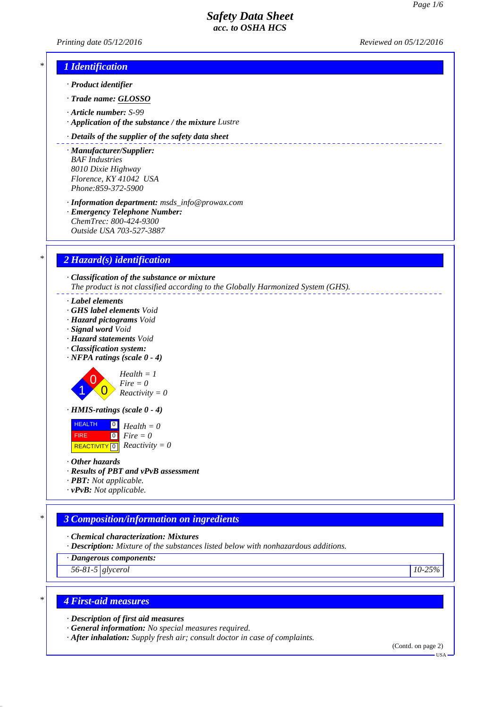*Printing date 05/12/2016 Reviewed on 05/12/2016*



- *· Product identifier*
- *· Trade name: GLOSSO*
- *· Article number: S-99*
- *· Application of the substance / the mixture Lustre*

#### *· Details of the supplier of the safety data sheet*

- *· Manufacturer/Supplier: BAF Industries 8010 Dixie Highway Florence, KY 41042 USA Phone:859-372-5900*
- *· Information department: msds\_info@prowax.com · Emergency Telephone Number: ChemTrec: 800-424-9300 Outside USA 703-527-3887*

# *\* 2 Hazard(s) identification*

*· Classification of the substance or mixture The product is not classified according to the Globally Harmonized System (GHS).*

- *· Label elements*
- *· GHS label elements Void*
- *· Hazard pictograms Void*
- *· Signal word Void*
- *· Hazard statements Void*
- *· Classification system:*
- *· NFPA ratings (scale 0 4)*

0  $\overline{0}$ *Health = 1 Fire = 0 Reactivity = 0*

*· HMIS-ratings (scale 0 - 4)*



*· Other hazards*

1

- *· Results of PBT and vPvB assessment*
- *· PBT: Not applicable.*
- *· vPvB: Not applicable.*

# *\* 3 Composition/information on ingredients*

- *· Chemical characterization: Mixtures*
- *· Description: Mixture of the substances listed below with nonhazardous additions.*
- *· Dangerous components:*
- *56-81-5 glycerol 10-25%*

# *\* 4 First-aid measures*

- *· Description of first aid measures*
- *· General information: No special measures required.*
- *· After inhalation: Supply fresh air; consult doctor in case of complaints.*

(Contd. on page 2)

USA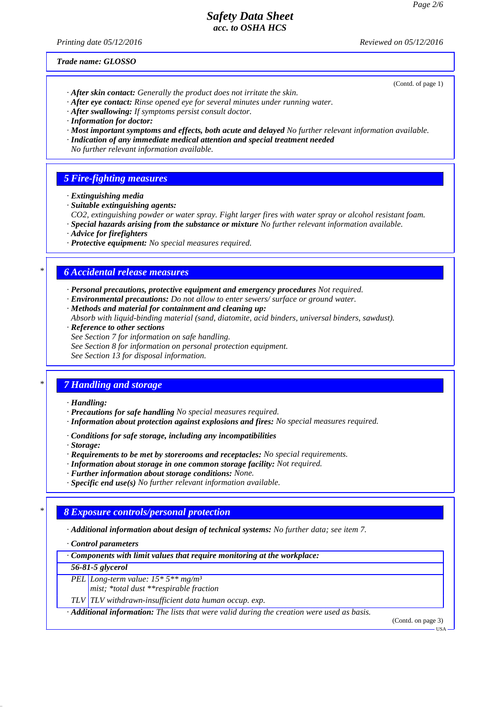*Printing date 05/12/2016 Reviewed on 05/12/2016*

*Trade name: GLOSSO*

(Contd. of page 1)

- *· After skin contact: Generally the product does not irritate the skin.*
- *· After eye contact: Rinse opened eye for several minutes under running water.*
- *· After swallowing: If symptoms persist consult doctor.*
- *· Information for doctor:*
- *· Most important symptoms and effects, both acute and delayed No further relevant information available.*
- *· Indication of any immediate medical attention and special treatment needed*
- *No further relevant information available.*

## *5 Fire-fighting measures*

- *· Extinguishing media*
- *· Suitable extinguishing agents:*
- *CO2, extinguishing powder or water spray. Fight larger fires with water spray or alcohol resistant foam.*
- *· Special hazards arising from the substance or mixture No further relevant information available.*
- *· Advice for firefighters*
- *· Protective equipment: No special measures required.*

## *\* 6 Accidental release measures*

- *· Personal precautions, protective equipment and emergency procedures Not required.*
- *· Environmental precautions: Do not allow to enter sewers/ surface or ground water.*
- *· Methods and material for containment and cleaning up:*
- *Absorb with liquid-binding material (sand, diatomite, acid binders, universal binders, sawdust).*
- *· Reference to other sections*
- *See Section 7 for information on safe handling.*
- *See Section 8 for information on personal protection equipment.*

*See Section 13 for disposal information.*

### *\* 7 Handling and storage*

- *· Handling:*
- *· Precautions for safe handling No special measures required.*
- *· Information about protection against explosions and fires: No special measures required.*
- *· Conditions for safe storage, including any incompatibilities*
- *· Storage:*
- *· Requirements to be met by storerooms and receptacles: No special requirements.*
- *· Information about storage in one common storage facility: Not required.*
- *· Further information about storage conditions: None.*
- *· Specific end use(s) No further relevant information available.*

### *\* 8 Exposure controls/personal protection*

- *· Additional information about design of technical systems: No further data; see item 7.*
- *· Control parameters*
- *· Components with limit values that require monitoring at the workplace:*

#### *56-81-5 glycerol*

- *PEL Long-term value: 15\* 5\*\* mg/m³*
- *mist; \*total dust \*\*respirable fraction*
- *TLV TLV withdrawn-insufficient data human occup. exp.*

*· Additional information: The lists that were valid during the creation were used as basis.*

(Contd. on page 3)

USA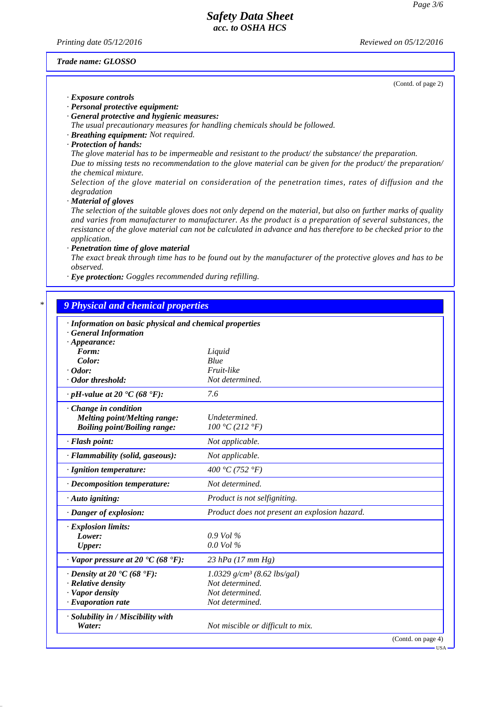*Printing date 05/12/2016 Reviewed on 05/12/2016*

#### *Trade name: GLOSSO*

(Contd. of page 2)

*· Exposure controls*

*· Personal protective equipment:*

*· General protective and hygienic measures:*

*The usual precautionary measures for handling chemicals should be followed.*

- *· Breathing equipment: Not required.*
- *· Protection of hands:*

*The glove material has to be impermeable and resistant to the product/ the substance/ the preparation. Due to missing tests no recommendation to the glove material can be given for the product/ the preparation/ the chemical mixture.*

*Selection of the glove material on consideration of the penetration times, rates of diffusion and the degradation*

*· Material of gloves*

*The selection of the suitable gloves does not only depend on the material, but also on further marks of quality and varies from manufacturer to manufacturer. As the product is a preparation of several substances, the resistance of the glove material can not be calculated in advance and has therefore to be checked prior to the application.*

*· Penetration time of glove material*

*The exact break through time has to be found out by the manufacturer of the protective gloves and has to be observed.*

*· Eye protection: Goggles recommended during refilling.*

## *\* 9 Physical and chemical properties*

| · Information on basic physical and chemical properties<br><b>General Information</b> |                                               |                    |  |  |
|---------------------------------------------------------------------------------------|-----------------------------------------------|--------------------|--|--|
| $\cdot$ Appearance:                                                                   |                                               |                    |  |  |
| Form:                                                                                 | Liquid                                        |                    |  |  |
| Color:                                                                                | Blue                                          |                    |  |  |
| $\cdot$ Odor:                                                                         | Fruit-like                                    |                    |  |  |
| Odor threshold:                                                                       | Not determined.                               |                    |  |  |
| $\cdot$ pH-value at 20 $\textdegree$ C (68 $\textdegree$ F):                          | 7.6                                           |                    |  |  |
| $\cdot$ Change in condition                                                           |                                               |                    |  |  |
| Melting point/Melting range:                                                          | Undetermined.                                 |                    |  |  |
| <b>Boiling point/Boiling range:</b>                                                   | 100 °C (212 °F)                               |                    |  |  |
| · Flash point:                                                                        | Not applicable.                               |                    |  |  |
| · Flammability (solid, gaseous):                                                      | Not applicable.                               |                    |  |  |
| · Ignition temperature:                                                               | 400 °C (752 °F)                               |                    |  |  |
| · Decomposition temperature:                                                          | Not determined.                               |                    |  |  |
| $\cdot$ Auto igniting:                                                                | Product is not selfigniting.                  |                    |  |  |
| · Danger of explosion:                                                                | Product does not present an explosion hazard. |                    |  |  |
| · Explosion limits:                                                                   |                                               |                    |  |  |
| Lower:                                                                                | $0.9$ Vol %                                   |                    |  |  |
| <b>Upper:</b>                                                                         | $0.0$ Vol $\%$                                |                    |  |  |
| $\cdot$ Vapor pressure at 20 $\cdot$ C (68 $\cdot$ F):                                | $23$ hPa (17 mm Hg)                           |                    |  |  |
| $\cdot$ Density at 20 $\cdot$ C (68 $\cdot$ F):                                       | $1.0329$ g/cm <sup>3</sup> (8.62 lbs/gal)     |                    |  |  |
| · Relative density                                                                    | Not determined.                               |                    |  |  |
| · Vapor density                                                                       | Not determined.                               |                    |  |  |
| $\cdot$ Evaporation rate                                                              | Not determined.                               |                    |  |  |
| · Solubility in / Miscibility with<br>Water:                                          | Not miscible or difficult to mix.             |                    |  |  |
|                                                                                       |                                               | (Contd. on page 4) |  |  |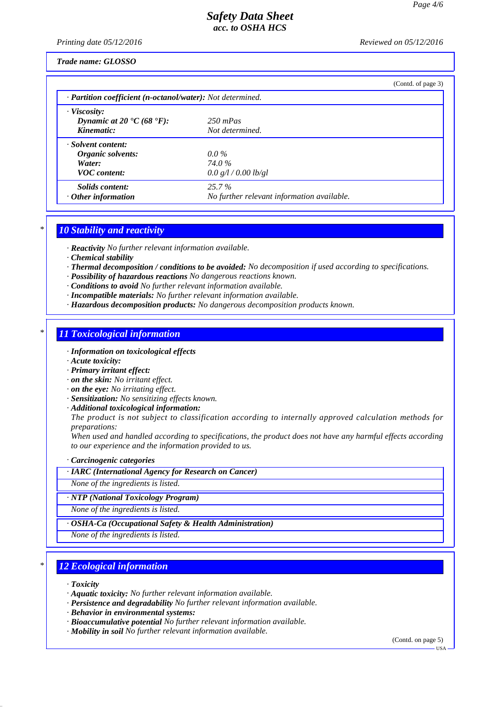*Printing date 05/12/2016 Reviewed on 05/12/2016*

### *Trade name: GLOSSO*

|                                                                                   |                                                        | (Contd. of page 3) |  |  |  |
|-----------------------------------------------------------------------------------|--------------------------------------------------------|--------------------|--|--|--|
| $\cdot$ <b>Partition coefficient (n-octanol/water):</b> Not determined.           |                                                        |                    |  |  |  |
| · Viscosity:<br>Dynamic at 20 $\textdegree$ C (68 $\textdegree$ F):<br>Kinematic: | $250$ mPas<br>Not determined.                          |                    |  |  |  |
| · Solvent content:<br>Organic solvents:<br>Water:<br><b>VOC</b> content:          | $0.0\%$<br><b>74.0</b> %<br>0.0 g/l / 0.00 lb/gl       |                    |  |  |  |
| Solids content:<br>$\cdot$ Other information                                      | $25.7\%$<br>No further relevant information available. |                    |  |  |  |

# *\* 10 Stability and reactivity*

*· Reactivity No further relevant information available.*

- *· Chemical stability*
- *· Thermal decomposition / conditions to be avoided: No decomposition if used according to specifications.*
- *· Possibility of hazardous reactions No dangerous reactions known.*
- *· Conditions to avoid No further relevant information available.*
- *· Incompatible materials: No further relevant information available.*
- *· Hazardous decomposition products: No dangerous decomposition products known.*

## *\* 11 Toxicological information*

- *· Information on toxicological effects*
- *· Acute toxicity:*
- *· Primary irritant effect:*
- *· on the skin: No irritant effect.*
- *· on the eye: No irritating effect.*
- *· Sensitization: No sensitizing effects known.*
- *· Additional toxicological information:*

*The product is not subject to classification according to internally approved calculation methods for preparations:*

*When used and handled according to specifications, the product does not have any harmful effects according to our experience and the information provided to us.*

*· Carcinogenic categories*

*· IARC (International Agency for Research on Cancer)*

*None of the ingredients is listed.*

*· NTP (National Toxicology Program)*

*None of the ingredients is listed.*

*· OSHA-Ca (Occupational Safety & Health Administration)*

*None of the ingredients is listed.*

## *\* 12 Ecological information*

*· Toxicity*

- *· Aquatic toxicity: No further relevant information available.*
- *· Persistence and degradability No further relevant information available.*
- *· Behavior in environmental systems:*
- *· Bioaccumulative potential No further relevant information available.*
- *· Mobility in soil No further relevant information available.*

(Contd. on page 5)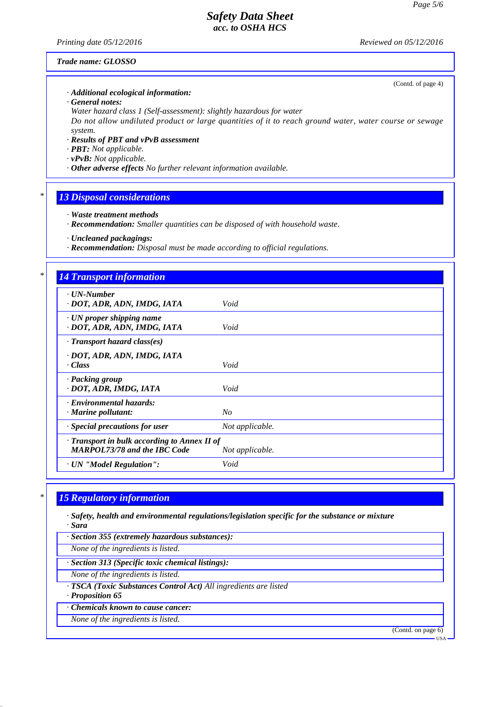*Printing date 05/12/2016 Reviewed on 05/12/2016*

(Contd. of page 4)

#### *Trade name: GLOSSO*

#### *· Additional ecological information:*

*· General notes:*

*Water hazard class 1 (Self-assessment): slightly hazardous for water Do not allow undiluted product or large quantities of it to reach ground water, water course or sewage system.*

- *· Results of PBT and vPvB assessment*
- *· PBT: Not applicable.*
- *· vPvB: Not applicable.*
- *· Other adverse effects No further relevant information available.*

## *\* 13 Disposal considerations*

- *· Waste treatment methods*
- *· Recommendation: Smaller quantities can be disposed of with household waste.*

*· Uncleaned packagings:*

*· Recommendation: Disposal must be made according to official regulations.*

# *\* 14 Transport information*

| $\cdot$ UN-Number<br>· DOT, ADR, ADN, IMDG, IATA                                                             | Void            |  |  |  |
|--------------------------------------------------------------------------------------------------------------|-----------------|--|--|--|
| · UN proper shipping name<br>· DOT, ADR, ADN, IMDG, IATA                                                     | Void            |  |  |  |
| · Transport hazard class(es)                                                                                 |                 |  |  |  |
| · DOT, ADR, ADN, IMDG, IATA<br>· Class                                                                       | Void            |  |  |  |
| · Packing group<br>· DOT, ADR, IMDG, IATA                                                                    | Void            |  |  |  |
| · Environmental hazards:<br>$\cdot$ Marine pollutant:                                                        | No              |  |  |  |
| · Special precautions for user                                                                               | Not applicable. |  |  |  |
| $\cdot$ Transport in bulk according to Annex II of<br><b>MARPOL73/78 and the IBC Code</b><br>Not applicable. |                 |  |  |  |
| · UN "Model Regulation":                                                                                     | Void            |  |  |  |

# *\* 15 Regulatory information*

*· Safety, health and environmental regulations/legislation specific for the substance or mixture*

*· Sara*

*· Section 355 (extremely hazardous substances):*

*None of the ingredients is listed.*

*· Section 313 (Specific toxic chemical listings):*

*None of the ingredients is listed.*

*· TSCA (Toxic Substances Control Act) All ingredients are listed*

*· Proposition 65*

*· Chemicals known to cause cancer:*

*None of the ingredients is listed.*

(Contd. on page 6)

USA